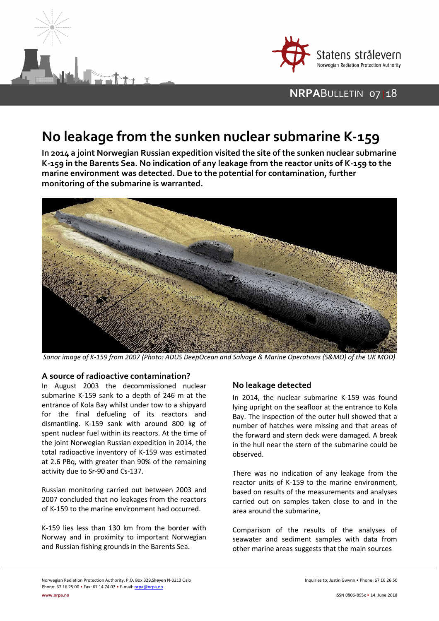



## **NRPA**BULLETIN 07 | 18

# **No leakage from the sunken nuclear submarine K-159**

**In 2014 a joint Norwegian Russian expedition visited the site of the sunken nuclear submarine K-159 in the Barents Sea. No indication of any leakage from the reactor units of K-159 to the marine environment was detected. Due to the potential for contamination, further monitoring of the submarine is warranted.**



*Sonor image of K-159 from 2007 (Photo: ADUS DeepOcean and Salvage & Marine Operations (S&MO) of the UK MOD)*

#### **A source of radioactive contamination?**

In August 2003 the decommissioned nuclear submarine K-159 sank to a depth of 246 m at the entrance of Kola Bay whilst under tow to a shipyard for the final defueling of its reactors and dismantling. K-159 sank with around 800 kg of spent nuclear fuel within its reactors. At the time of the joint Norwegian Russian expedition in 2014, the total radioactive inventory of K-159 was estimated at 2.6 PBq, with greater than 90% of the remaining activity due to Sr-90 and Cs-137.

Russian monitoring carried out between 2003 and 2007 concluded that no leakages from the reactors of K-159 to the marine environment had occurred.

K-159 lies less than 130 km from the border with Norway and in proximity to important Norwegian and Russian fishing grounds in the Barents Sea.

### **No leakage detected**

In 2014, the nuclear submarine K-159 was found lying upright on the seafloor at the entrance to Kola Bay. The inspection of the outer hull showed that a number of hatches were missing and that areas of the forward and stern deck were damaged. A break in the hull near the stern of the submarine could be observed.

There was no indication of any leakage from the reactor units of K-159 to the marine environment, based on results of the measurements and analyses carried out on samples taken close to and in the area around the submarine,

Comparison of the results of the analyses of seawater and sediment samples with data from other marine areas suggests that the main sources